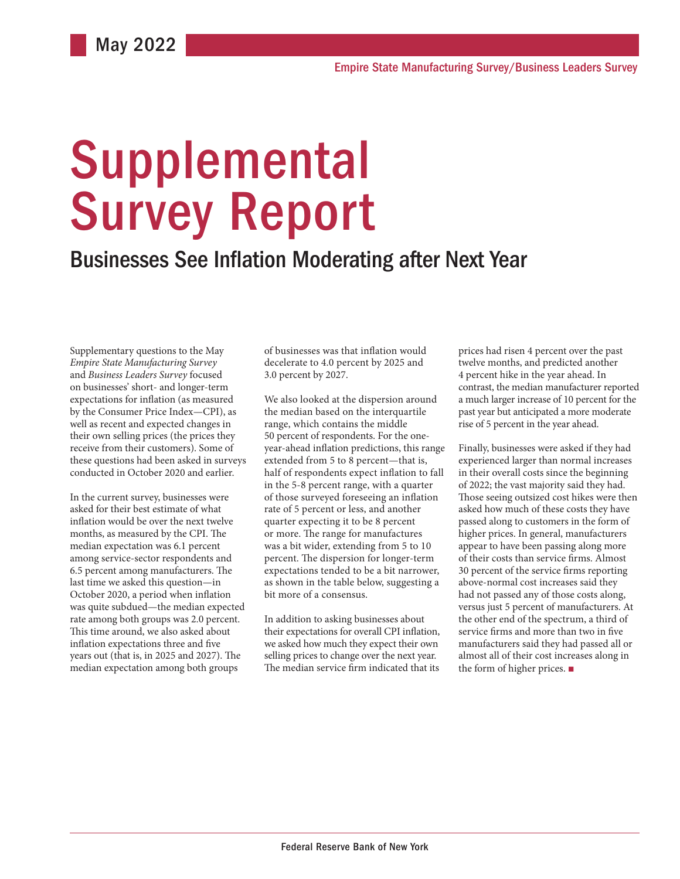# Supplemental Survey Report

## Businesses See Inflation Moderating after Next Year

Supplementary questions to the May *Empire State Manufacturing Survey* and *Business Leaders Survey* focused on businesses' short- and longer-term expectations for inflation (as measured by the Consumer Price Index—CPI), as well as recent and expected changes in their own selling prices (the prices they receive from their customers). Some of these questions had been asked in surveys conducted in October 2020 and earlier.

In the current survey, businesses were asked for their best estimate of what inflation would be over the next twelve months, as measured by the CPI. The median expectation was 6.1 percent among service-sector respondents and 6.5 percent among manufacturers. The last time we asked this question—in October 2020, a period when inflation was quite subdued—the median expected rate among both groups was 2.0 percent. This time around, we also asked about inflation expectations three and five years out (that is, in 2025 and 2027). The median expectation among both groups

of businesses was that inflation would decelerate to 4.0 percent by 2025 and 3.0 percent by 2027.

We also looked at the dispersion around the median based on the interquartile range, which contains the middle 50 percent of respondents. For the oneyear-ahead inflation predictions, this range extended from 5 to 8 percent—that is, half of respondents expect inflation to fall in the 5-8 percent range, with a quarter of those surveyed foreseeing an inflation rate of 5 percent or less, and another quarter expecting it to be 8 percent or more. The range for manufactures was a bit wider, extending from 5 to 10 percent. The dispersion for longer-term expectations tended to be a bit narrower, as shown in the table below, suggesting a bit more of a consensus.

In addition to asking businesses about their expectations for overall CPI inflation, we asked how much they expect their own selling prices to change over the next year. The median service firm indicated that its

prices had risen 4 percent over the past twelve months, and predicted another 4 percent hike in the year ahead. In contrast, the median manufacturer reported a much larger increase of 10 percent for the past year but anticipated a more moderate rise of 5 percent in the year ahead.

Finally, businesses were asked if they had experienced larger than normal increases in their overall costs since the beginning of 2022; the vast majority said they had. Those seeing outsized cost hikes were then asked how much of these costs they have passed along to customers in the form of higher prices. In general, manufacturers appear to have been passing along more of their costs than service firms. Almost 30 percent of the service firms reporting above-normal cost increases said they had not passed any of those costs along, versus just 5 percent of manufacturers. At the other end of the spectrum, a third of service firms and more than two in five manufacturers said they had passed all or almost all of their cost increases along in the form of higher prices. ■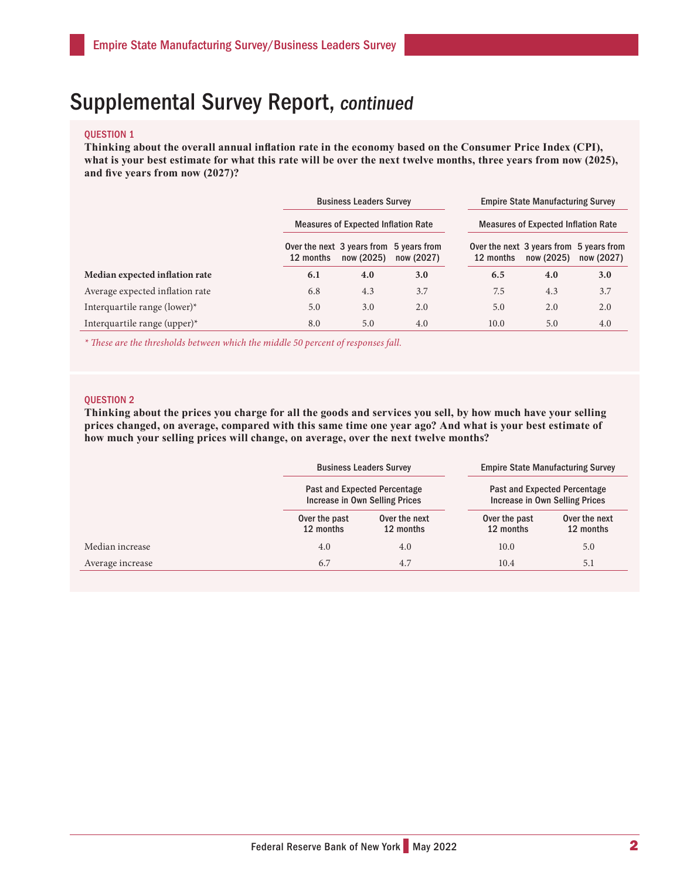## Supplemental Survey Report, continued

#### QUESTION 1

**Thinking about the overall annual inflation rate in the economy based on the Consumer Price Index (CPI), what is your best estimate for what this rate will be over the next twelve months, three years from now (2025), and five years from now (2027)?** 

|                                 | <b>Business Leaders Survey</b><br><b>Measures of Expected Inflation Rate</b> |            |                                                       |                                                      | <b>Empire State Manufacturing Survey</b> |            |  |
|---------------------------------|------------------------------------------------------------------------------|------------|-------------------------------------------------------|------------------------------------------------------|------------------------------------------|------------|--|
|                                 |                                                                              |            |                                                       | <b>Measures of Expected Inflation Rate</b>           |                                          |            |  |
|                                 | 12 months                                                                    | now (2025) | Over the next 3 years from 5 years from<br>now (2027) | Over the next 3 years from 5 years from<br>12 months | now (2025)                               | now (2027) |  |
| Median expected inflation rate  | 6.1                                                                          | 4.0        | 3.0                                                   | 6.5                                                  | 4.0                                      | 3.0        |  |
| Average expected inflation rate | 6.8                                                                          | 4.3        | 3.7                                                   | 7.5                                                  | 4.3                                      | 3.7        |  |
| Interquartile range (lower) $*$ | 5.0                                                                          | 3.0        | 2.0                                                   | 5.0                                                  | 2.0                                      | 2.0        |  |
| Interquartile range (upper)*    | 8.0                                                                          | 5.0        | 4.0                                                   | 10.0                                                 | 5.0                                      | 4.0        |  |

*\* These are the thresholds between which the middle 50 percent of responses fall.* 

#### QUESTION 2

**Thinking about the prices you charge for all the goods and services you sell, by how much have your selling prices changed, on average, compared with this same time one year ago? And what is your best estimate of how much your selling prices will change, on average, over the next twelve months?** 

|                  | <b>Business Leaders Survey</b><br>Past and Expected Percentage<br>Increase in Own Selling Prices |                            | <b>Empire State Manufacturing Survey</b><br>Past and Expected Percentage<br><b>Increase in Own Selling Prices</b> |                            |  |
|------------------|--------------------------------------------------------------------------------------------------|----------------------------|-------------------------------------------------------------------------------------------------------------------|----------------------------|--|
|                  |                                                                                                  |                            |                                                                                                                   |                            |  |
|                  | Over the past<br>12 months                                                                       | Over the next<br>12 months | Over the past<br>12 months                                                                                        | Over the next<br>12 months |  |
| Median increase  | 4.0                                                                                              | 4.0                        | 10.0                                                                                                              | 5.0                        |  |
| Average increase | 6.7                                                                                              | 4.7                        | 10.4                                                                                                              | 5.1                        |  |